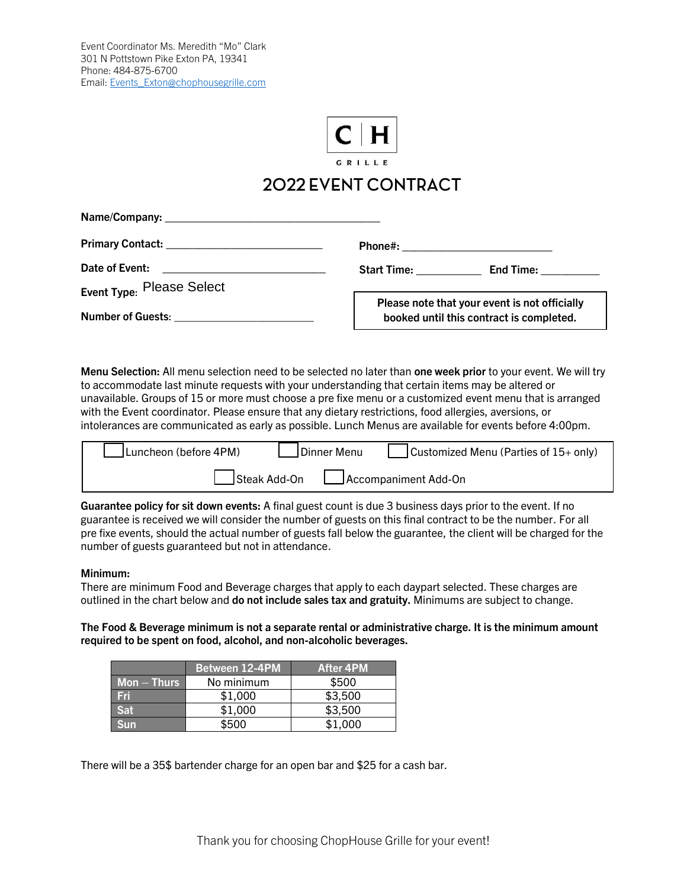

## 2022 EVENT CONTRACT

**Name/Company: \_\_\_\_\_\_\_\_\_\_\_\_\_\_\_\_\_\_\_\_\_\_\_\_\_\_\_\_\_\_\_\_\_**

**Primary Contact: \_\_\_\_\_\_\_\_\_\_\_\_\_\_\_\_\_\_\_\_\_\_\_\_** 

Date of Event:

**Event Type: Please Select** 

**Number of Guests**: \_\_\_\_\_\_\_\_\_\_\_\_\_\_\_\_\_\_\_\_\_\_

**Phone#:**  $\blacksquare$ 

**Start Time: \_\_\_\_\_\_\_\_\_\_ End Time: \_\_\_\_\_\_\_\_\_**

**Please note that your event is not officially booked until this contract is completed.**

**Menu Selection:** All menu selection need to be selected no later than **one week prior** to your event. We will try to accommodate last minute requests with your understanding that certain items may be altered or unavailable. Groups of 15 or more must choose a pre fixe menu or a customized event menu that is arranged with the Event coordinator. Please ensure that any dietary restrictions, food allergies, aversions, or intolerances are communicated as early as possible. Lunch Menus are available for events before 4:00pm.

| JLuncheon (before 4PM)               | Dinner Menu | Customized Menu (Parties of $15+$ only) |
|--------------------------------------|-------------|-----------------------------------------|
| Steak Add-On<br>Accompaniment Add-On |             |                                         |

**Guarantee policy for sit down events:** A final guest count is due 3 business days prior to the event. If no guarantee is received we will consider the number of guests on this final contract to be the number. For all pre fixe events, should the actual number of guests fall below the guarantee, the client will be charged for the number of guests guaranteed but not in attendance.

## **Minimum:**

There are minimum Food and Beverage charges that apply to each daypart selected. These charges are outlined in the chart below and **do not include sales tax and gratuity.** Minimums are subject to change.

**The Food & Beverage minimum is not a separate rental or administrative charge. It is the minimum amount required to be spent on food, alcohol, and non-alcoholic beverages.**

|              | <b>Between 12-4PM</b> | <b>After 4PM</b> |
|--------------|-----------------------|------------------|
| $Mon - Thus$ | No minimum            | \$500            |
| Fri          | \$1,000               | \$3,500          |
| Sat          | \$1,000               | \$3,500          |
| Sun          | \$500                 | \$1,000          |

There will be a 35\$ bartender charge for an open bar and \$25 for a cash bar.